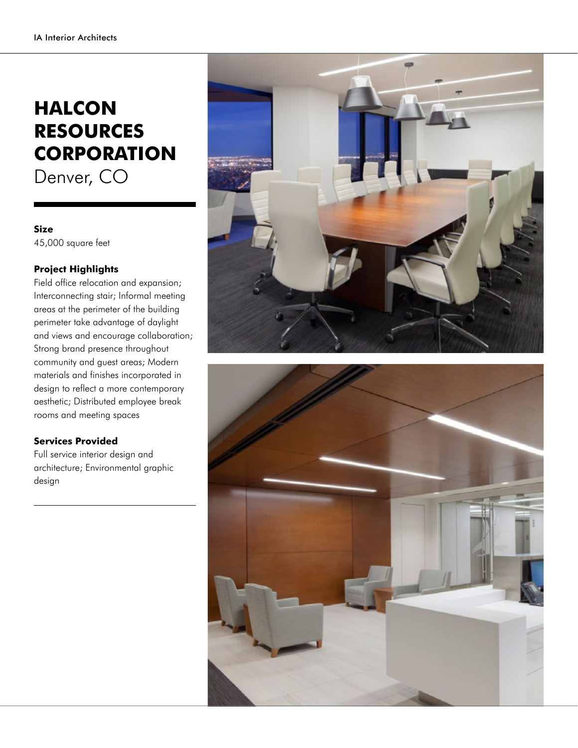## **HALCON RESOURCES CORPORATION**

Denver, CO

## **Size** 45,000 square feet

## **Project Highlights**

Field office relocation and expansion; Interconnecting stair; Informal meeting areas at the perimeter of the building perimeter take advantage of daylight and views and encourage collaboration; Strong brand presence throughout community and guest areas; Modern materials and finishes incorporated in design to reflect a more contemporary aesthetic; Distributed employee break rooms and meeting spaces

## **Services Provided**

Full service interior design and architecture; Environmental graphic design